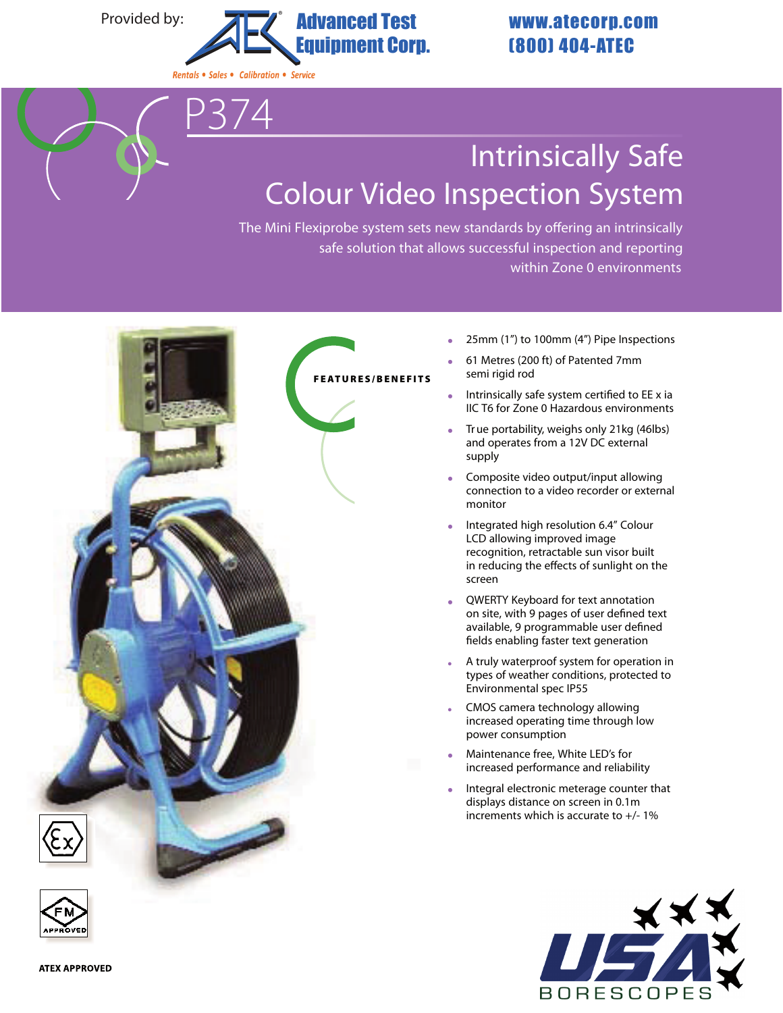Provided by:



## **Intrinsically Safe Colour Video Inspection System**

The Mini Flexiprobe system sets new standards by offering an intrinsically safe solution that allows successful inspection and reporting within Zone 0 environments



- 25mm (1") to 100mm (4") Pipe Inspections
- 61 Metres (200 ft) of Patented 7mm semi rigid rod
- Intrinsically safe system certified to EE x ia IIC T6 for Zone 0 Hazardous environments
- True portability, weighs only 21kg (46lbs) and operates from a 12V DC external supply
- Composite video output/input allowing connection to a video recorder or external monitor
- Integrated high resolution 6.4" Colour LCD allowing improved image recognition, retractable sun visor built in reducing the effects of sunlight on the screen
- QWERTY Keyboard for text annotation on site, with 9 pages of user defined text available, 9 programmable user defined fields enabling faster text generation
- A truly waterproof system for operation in types of weather conditions, protected to Environmental spec IP55
- CMOS camera technology allowing increased operating time through low power consumption
- Maintenance free, White LED's for increased performance and reliability
- Integral electronic meterage counter that displays distance on screen in 0.1m increments which is accurate to +/- 1%



**ATEX APPROVED**